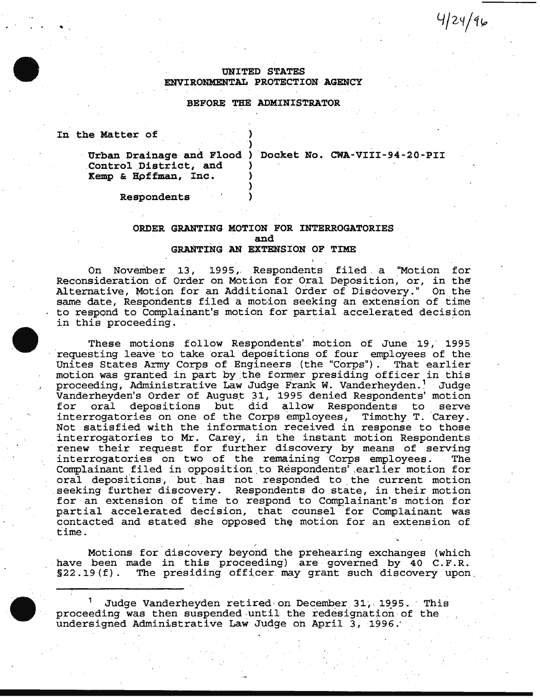# UNITED STATES ENVIRONMENTAL PROTECTION AGENCY

#### BEFORE THE ADMINISTRATOR

)

)

In the Matter of

Control District, and Kemp & Hpffman, Inc. )

Urban Drainage and Flood ) 'Docket No. CWA-VIII-94-20-PII

 $4/24/46$ 

Respondents )

### ORDER GRANTING MOTION FOR INTERROGATORIES and GRANTING AN EXTENSION OF TIME

On November 13, 1995, Respondents filed a "Motion for Reconsideration of Order on Motion for Oral Deposition; or, in the Alternative, Motion for an Additional Order of Discovery." On the same date, Respondents filed a motion seeking an extension of time to respond to Complainant's motion for partial accelerated decision co respons to complainant b modien for parents accelerated decide

These motions follow Respondents' motion of June 19, 1995 requesting leave to take oral depositions of four employees of the<br>Unites States Army Corps of Engineers (the "Corps"). That earlier Unites States Army Corps of Engineers (the "Corps"). motion was granted in part by the former presiding officer in this proceeding, Administrative Law Judge Frank W. Vanderheyden.<sup>1</sup> Judge Vanderheyden's Order of August 31, 1995 denied Respondents' motion for oral depositions but did allow Respondents to serve interrogatories on one of the Corps employees, Timothy T. Carey. Not satisfied with the information received in response to those interrogatories to Mr. Carey, in the instant motion Respondents renew their request for further discovery by means of serving interrogatories on two of the remaining Corps employees. The Complainant filed in opposition to Respondents' earlier motion for oral depositions, but has not responded to the current motion seeking further discovery. Respondents do state, in their motion for an extension of time to respond to Complainant's motion for partial accelerated decision, that counsel for Complainant was contacted and stated she opposed the motion for an extension of time.

Motions for discovery beyond the prehearing exchanges (which have been made in this proceeding) are governed by 40 C.F.R.<br>§22.19(f). The presiding officer may grant such discovery upon The presiding officer may grant such discovery upon.

Judge Vanderheyden retired on December 31, 1995. This proceeding was then suspended-until the redesignation·of the undersigned Administrative Law Judge on April 3, 1996.'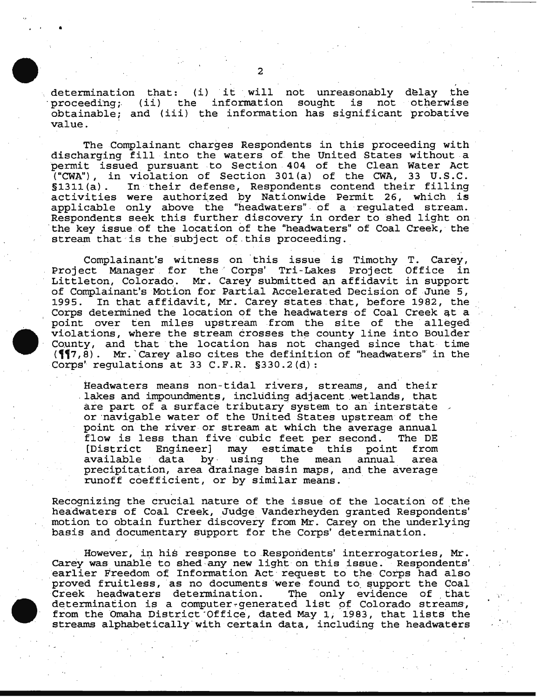determination that: (i) it will not unreasonably delay the proceeding; (ii) the information sought is not otherwise obtainable; and (iii) the information has significant probative value.

The Complainant charges Respondents in this proceeding with discharging fill into the waters of the United States without a permit issued pursuant to Section 404 of the Clean Water Act ("CWA"), in violation of Section 301(a) of the CWA, 33 U.S.C.<br>§1311(a). In their defense, Respondents contend their filling In their defense, Respondents contend their filling activities were authorized by Nationwide Permit 26, which is applicable only above the "headwaters" of a regulated stream. Respondents seek this further discovery in order to shed light on the key issue of the location of the "headwaters" of Coal Creek, the stream that is the subject of this proceeding.

Complainant's witness on this issue is Timothy T. Carey, Project Manager for the' Corps' Tri-Lakes Project Office in Littleton, Colorado. Mr. Carey submitted an affidavit in support of Complainant's Motion for Partial Accelerated Decision of June 5,<br>1995. In that affidavit, Mr. Carey states that, before 1982, the In that affidavit, Mr. Carey states that, before 1982, the Corps determined the location of the headwaters of Coal Creek qt a point over ten miles upstream from the site of the alleged violations, where the stream crosses the county line into Boulder County, and that the location has not changed since that time **(17,8).** Mr. Carey also cites the definition of "headwaters" in the Corps' regulations at 33 C.F.R.  $\S 330.2$  (d):

Headwaters means non-tidal rivers, streams, and their .lakes and impoundments, including adjacent .wetlapds, that are part of a surface tributary system to an interstate or navigable water of the United States upstream of the point on the river or stream at which the average annual<br>flow is less than five cubic feet per second. The DE flow is less than five cubic feet per second. The DE<br>[District Engineer] may estimate this point from eer] may estimate this point<br>by using the mean annual available data by· using the mean annual area precipitation, area drainage basin maps, and the average runoff coefficient, or by similar means.

Recognizing the crucial nature of the issue of the location of the headwaters of Coal Creek, Judge Vanderheyden granted Respondents' motion to obtain further discovery from Mr. Carey on the underlying basis and documentary support for the Corps' qetermination.

However, in his response to Respondents' interrogatories, Mr. Carey was unable to shed any new light on this issue. Respondents'<br>earlier Freedom of Information Act request to the Corps had also proved fruitless, as no documents were found to support the Coal<br>Creek headwaters determination. The only evidence of that Creek headwaters determination. determination is a computer-generated list of Colorado streams, from the Omaha District·office, dated May 1, 1983, that lists the streams alphabetically with certain data, including the headwaters

•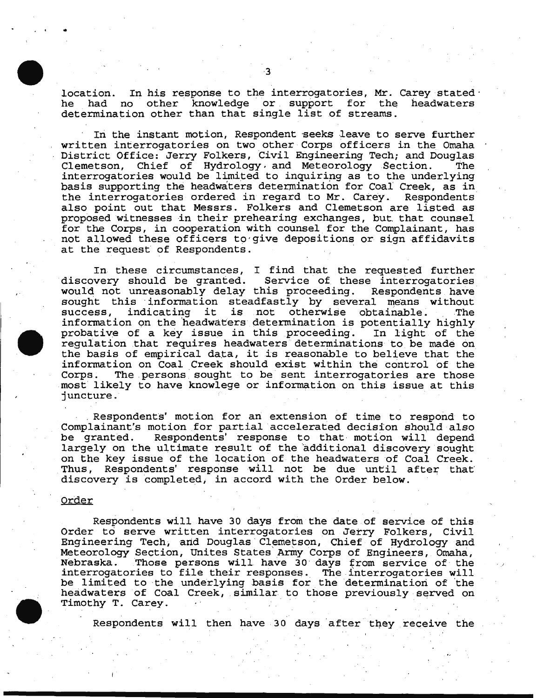location. In his response to the interrogatories, Mr. Carey stated· other knowledge or support for the headwaters determination other than that single list of streams.

In the instant motion, Respondent seeks leave to serve further written interrogatories on two other Corps officers in the Omaha District Office: Jerry Folkers, Civil Engineering Tech; and Douglas Clemetson, Chief of Hydrology. and Meteorology Section. The interrogatories would be limited to inquiring as to the underlying basis supporting the headwaters determination for Coal Creek, as in the interrogatories ordered in regard to Mr. Carey. Respondents the interrogatories ordered in regard to Mr. Carey. also point out that Messrs. Folkers and Clemetson are listed as proposed witnesses in their prehearing exchanges, but that counsel for the Corps, in cooperation with counsel for the Complainant, has not allowed these officers to·give depositions or sign affidavits at the request of Respondents.

In these circumstances, I find that the requested further discovery should be granted. Service of these interrogatories would not unreasonably delay this proceeding. Respondents have sought this information steadfastly by several means without<br>success, indicating it is not otherwise obtainable. The indicating it is not otherwise obtainable. The information on the 'headwaters determination is potentially highly probative of a key issue in this proceeding. In light of the regulation that requires headwaters determinations to be made on the basis of empirical data, it is reasonable to believe that the information on Coal Creek should exist within the control of the The persons sought to be sent interrogatories are those most' likely to have knowlege or information on this issue at this juncture .

. Respondents' motion for an: extension of time to respond to Complainant's motion for partial accelerated decision should also Respondents' response to that motion will depend largely on the ultimate result of the additional discovery sought on the key issue of the location of the headwaters of Coal Creek. Thus, Respondents' response will not be due until after that discovery is completed, in accord with the Order below.

#### Order

. . .

Respondents will have 30 days from the date of service of this Order to serve written interrogatories on Jerry Folkers, Civil Engineering Tech, and Douglas Clemetson, Chief of Hydrology and Meteorology Section, Unites States Army Corps of Engineers, Omaha,<br>Nebraska. Those persons will have 30 days from service of the Those persons will have 30 days from service of the interrogatories to file their responses. The interrogatories will incorregateries to fire their responses. The interregateries will headwaters of Coal Creek, similar to those previously served on Timothy T. Carey.

Respondents will then have 30 days after they receive the

· \_;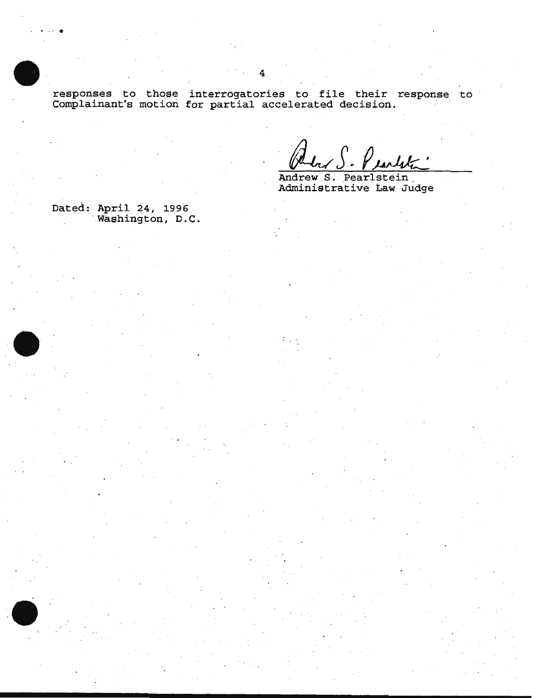responses to those interrogatories to file their response to Complainant's motion for partial accelerated decision.

Andrew S. Pearlstein<br>Administrative Law Judge

Dated: April 24, 1996<br>Washington, D.C.

.  $\mathcal{L}$  .